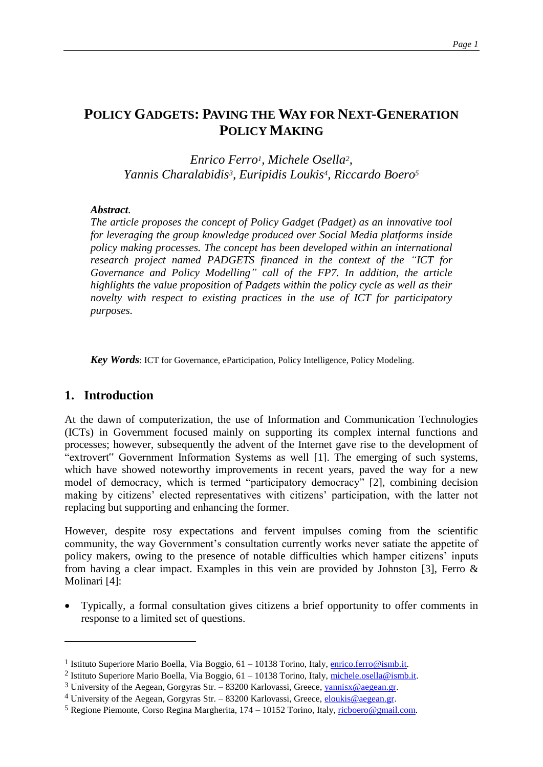# **POLICY GADGETS: PAVING THE WAY FOR NEXT-GENERATION POLICY MAKING**

*Enrico Ferro1, Michele Osella2, Yannis Charalabidis3, Euripidis Loukis4, Riccardo Boero<sup>5</sup>*

#### *Abstract.*

*The article proposes the concept of Policy Gadget (Padget) as an innovative tool for leveraging the group knowledge produced over Social Media platforms inside policy making processes. The concept has been developed within an international research project named PADGETS financed in the context of the "ICT for Governance and Policy Modelling" call of the FP7. In addition, the article highlights the value proposition of Padgets within the policy cycle as well as their novelty with respect to existing practices in the use of ICT for participatory purposes.* 

*Key Words*: ICT for Governance, eParticipation, Policy Intelligence, Policy Modeling.

### **1. Introduction**

 $\overline{a}$ 

At the dawn of computerization, the use of Information and Communication Technologies (ICTs) in Government focused mainly on supporting its complex internal functions and processes; however, subsequently the advent of the Internet gave rise to the development of "extrovert" Government Information Systems as well [\[1\].](#page-7-0) The emerging of such systems, which have showed noteworthy improvements in recent years, paved the way for a new model of democracy, which is termed "participatory democracy" [\[2\],](#page-7-1) combining decision making by citizens' elected representatives with citizens' participation, with the latter not replacing but supporting and enhancing the former.

However, despite rosy expectations and fervent impulses coming from the scientific community, the way Government's consultation currently works never satiate the appetite of policy makers, owing to the presence of notable difficulties which hamper citizens' inputs from having a clear impact. Examples in this vein are provided by Johnston [\[3\],](#page-7-2) Ferro  $\&$ Molinari [\[4\]:](#page-7-3)

 Typically, a formal consultation gives citizens a brief opportunity to offer comments in response to a limited set of questions.

<sup>&</sup>lt;sup>1</sup> Istituto Superiore Mario Boella, Via Boggio, 61 – 10138 Torino, Italy, [enrico.ferro@ismb.it.](mailto:enrico.ferro@ismb.it)

<sup>&</sup>lt;sup>2</sup> Istituto Superiore Mario Boella, Via Boggio, 61 – 10138 Torino, Italy, [michele.osella@ismb.it.](mailto:michele.osella@ismb.it)

<sup>&</sup>lt;sup>3</sup> University of the Aegean, Gorgyras Str. – 83200 Karlovassi, Greece[, yannisx@aegean.gr.](mailto:yannisx@aegean.gr)

<sup>&</sup>lt;sup>4</sup> University of the Aegean, Gorgyras Str. – 83200 Karlovassi, Greece, *eloukis@aegean.gr.* 

<sup>5</sup> Regione Piemonte, Corso Regina Margherita, 174 – 10152 Torino, Italy[, ricboero@gmail.com.](mailto:ricboero@gmail.com)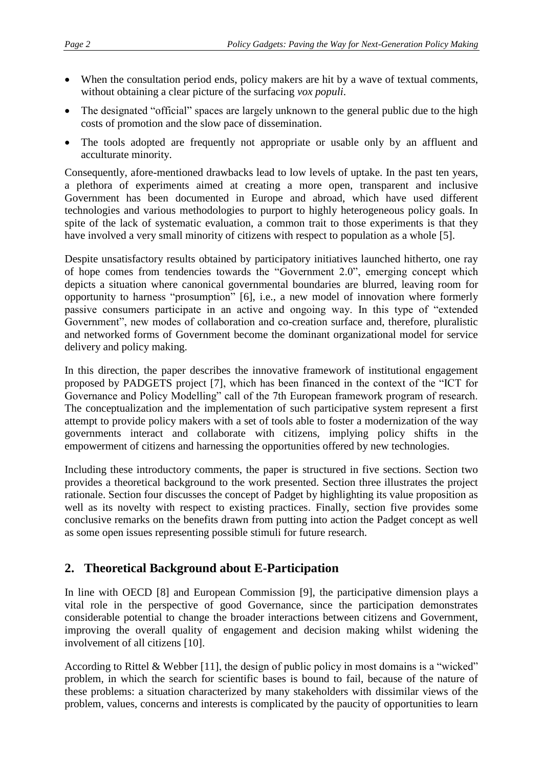- When the consultation period ends, policy makers are hit by a wave of textual comments, without obtaining a clear picture of the surfacing *vox populi*.
- The designated "official" spaces are largely unknown to the general public due to the high costs of promotion and the slow pace of dissemination.
- The tools adopted are frequently not appropriate or usable only by an affluent and acculturate minority.

Consequently, afore-mentioned drawbacks lead to low levels of uptake. In the past ten years, a plethora of experiments aimed at creating a more open, transparent and inclusive Government has been documented in Europe and abroad, which have used different technologies and various methodologies to purport to highly heterogeneous policy goals. In spite of the lack of systematic evaluation, a common trait to those experiments is that they have involved a very small minority of citizens with respect to population as a whole [\[5\].](#page-7-4)

Despite unsatisfactory results obtained by participatory initiatives launched hitherto, one ray of hope comes from tendencies towards the "Government 2.0", emerging concept which depicts a situation where canonical governmental boundaries are blurred, leaving room for opportunity to harness "prosumption" [\[6\],](#page-7-5) i.e., a new model of innovation where formerly passive consumers participate in an active and ongoing way. In this type of "extended Government", new modes of collaboration and co-creation surface and, therefore, pluralistic and networked forms of Government become the dominant organizational model for service delivery and policy making.

In this direction, the paper describes the innovative framework of institutional engagement proposed by PADGETS project [\[7\],](#page-7-6) which has been financed in the context of the "ICT for Governance and Policy Modelling" call of the 7th European framework program of research. The conceptualization and the implementation of such participative system represent a first attempt to provide policy makers with a set of tools able to foster a modernization of the way governments interact and collaborate with citizens, implying policy shifts in the empowerment of citizens and harnessing the opportunities offered by new technologies.

Including these introductory comments, the paper is structured in five sections. Section two provides a theoretical background to the work presented. Section three illustrates the project rationale. Section four discusses the concept of Padget by highlighting its value proposition as well as its novelty with respect to existing practices. Finally, section five provides some conclusive remarks on the benefits drawn from putting into action the Padget concept as well as some open issues representing possible stimuli for future research.

## **2. Theoretical Background about E-Participation**

In line with OECD [\[8\]](#page-7-7) and European Commission [\[9\],](#page-7-8) the participative dimension plays a vital role in the perspective of good Governance, since the participation demonstrates considerable potential to change the broader interactions between citizens and Government, improving the overall quality of engagement and decision making whilst widening the involvement of all citizens [\[10\].](#page-7-9)

According to Rittel & Webber [\[11\],](#page-7-10) the design of public policy in most domains is a "wicked" problem, in which the search for scientific bases is bound to fail, because of the nature of these problems: a situation characterized by many stakeholders with dissimilar views of the problem, values, concerns and interests is complicated by the paucity of opportunities to learn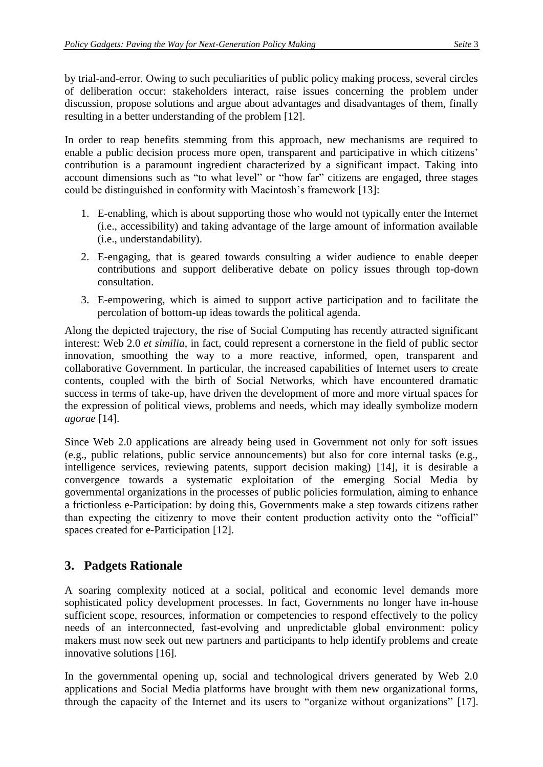by trial-and-error. Owing to such peculiarities of public policy making process, several circles of deliberation occur: stakeholders interact, raise issues concerning the problem under discussion, propose solutions and argue about advantages and disadvantages of them, finally resulting in a better understanding of the problem [\[12\].](#page-7-11)

In order to reap benefits stemming from this approach, new mechanisms are required to enable a public decision process more open, transparent and participative in which citizens' contribution is a paramount ingredient characterized by a significant impact. Taking into account dimensions such as "to what level" or "how far" citizens are engaged, three stages could be distinguished in conformity with Macintosh's framework [\[13\]:](#page-7-12)

- 1. E-enabling, which is about supporting those who would not typically enter the Internet (i.e., accessibility) and taking advantage of the large amount of information available (i.e., understandability).
- 2. E-engaging, that is geared towards consulting a wider audience to enable deeper contributions and support deliberative debate on policy issues through top-down consultation.
- 3. E-empowering, which is aimed to support active participation and to facilitate the percolation of bottom-up ideas towards the political agenda.

Along the depicted trajectory, the rise of Social Computing has recently attracted significant interest: Web 2.0 *et similia*, in fact, could represent a cornerstone in the field of public sector innovation, smoothing the way to a more reactive, informed, open, transparent and collaborative Government. In particular, the increased capabilities of Internet users to create contents, coupled with the birth of Social Networks, which have encountered dramatic success in terms of take-up, have driven the development of more and more virtual spaces for the expression of political views, problems and needs, which may ideally symbolize modern *agorae* [\[14\].](#page-7-13)

Since Web 2.0 applications are already being used in Government not only for soft issues (e.g., public relations, public service announcements) but also for core internal tasks (e.g., intelligence services, reviewing patents, support decision making) [\[14\],](#page-7-13) it is desirable a convergence towards a systematic exploitation of the emerging Social Media by governmental organizations in the processes of public policies formulation, aiming to enhance a frictionless e-Participation: by doing this, Governments make a step towards citizens rather than expecting the citizenry to move their content production activity onto the "official" spaces created for e-Participation [\[12\].](#page-7-11)

## **3. Padgets Rationale**

A soaring complexity noticed at a social, political and economic level demands more sophisticated policy development processes. In fact, Governments no longer have in-house sufficient scope, resources, information or competencies to respond effectively to the policy needs of an interconnected, fast-evolving and unpredictable global environment: policy makers must now seek out new partners and participants to help identify problems and create innovative solutions [\[16\].](#page-7-14)

In the governmental opening up, social and technological drivers generated by Web 2.0 applications and Social Media platforms have brought with them new organizational forms, through the capacity of the Internet and its users to "organize without organizations" [\[17\].](#page-7-15)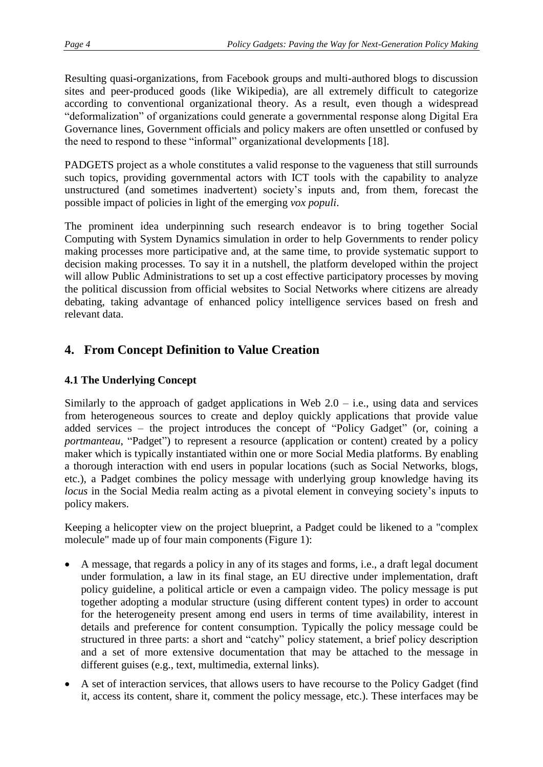Resulting quasi-organizations, from Facebook groups and multi-authored blogs to discussion sites and peer-produced goods (like Wikipedia), are all extremely difficult to categorize according to conventional organizational theory. As a result, even though a widespread "deformalization" of organizations could generate a governmental response along Digital Era Governance lines, Government officials and policy makers are often unsettled or confused by the need to respond to these "informal" organizational developments [\[18\].](#page-7-16)

PADGETS project as a whole constitutes a valid response to the vagueness that still surrounds such topics, providing governmental actors with ICT tools with the capability to analyze unstructured (and sometimes inadvertent) society's inputs and, from them, forecast the possible impact of policies in light of the emerging *vox populi*.

The prominent idea underpinning such research endeavor is to bring together Social Computing with System Dynamics simulation in order to help Governments to render policy making processes more participative and, at the same time, to provide systematic support to decision making processes. To say it in a nutshell, the platform developed within the project will allow Public Administrations to set up a cost effective participatory processes by moving the political discussion from official websites to Social Networks where citizens are already debating, taking advantage of enhanced policy intelligence services based on fresh and relevant data.

# **4. From Concept Definition to Value Creation**

### **4.1 The Underlying Concept**

Similarly to the approach of gadget applications in Web  $2.0 - i.e.,$  using data and services from heterogeneous sources to create and deploy quickly applications that provide value added services – the project introduces the concept of "Policy Gadget" (or, coining a *portmanteau*, "Padget") to represent a resource (application or content) created by a policy maker which is typically instantiated within one or more Social Media platforms. By enabling a thorough interaction with end users in popular locations (such as Social Networks, blogs, etc.), a Padget combines the policy message with underlying group knowledge having its *locus* in the Social Media realm acting as a pivotal element in conveying society's inputs to policy makers.

Keeping a helicopter view on the project blueprint, a Padget could be likened to a "complex molecule" made up of four main components [\(Figure 1\)](#page-4-0):

- A message, that regards a policy in any of its stages and forms, i.e., a draft legal document under formulation, a law in its final stage, an EU directive under implementation, draft policy guideline, a political article or even a campaign video. The policy message is put together adopting a modular structure (using different content types) in order to account for the heterogeneity present among end users in terms of time availability, interest in details and preference for content consumption. Typically the policy message could be structured in three parts: a short and "catchy" policy statement, a brief policy description and a set of more extensive documentation that may be attached to the message in different guises (e.g., text, multimedia, external links).
- A set of interaction services, that allows users to have recourse to the Policy Gadget (find it, access its content, share it, comment the policy message, etc.). These interfaces may be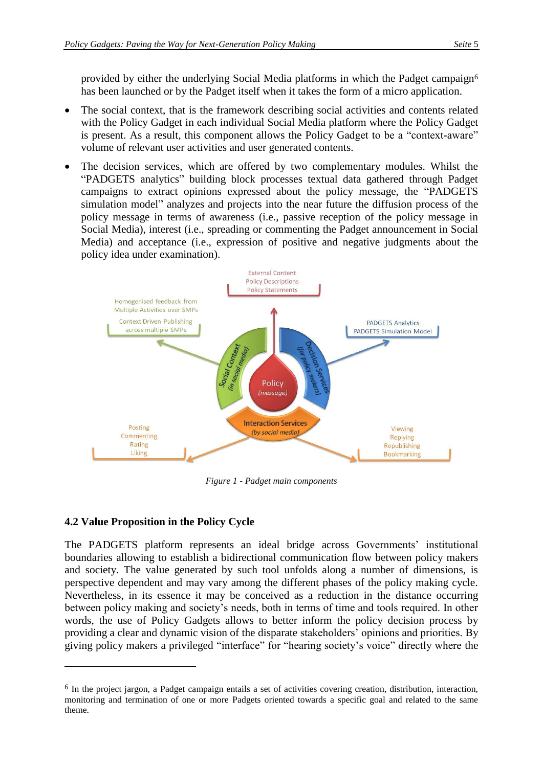provided by either the underlying Social Media platforms in which the Padget campaign<sup>6</sup> has been launched or by the Padget itself when it takes the form of a micro application.

- The social context, that is the framework describing social activities and contents related with the Policy Gadget in each individual Social Media platform where the Policy Gadget is present. As a result, this component allows the Policy Gadget to be a "context-aware" volume of relevant user activities and user generated contents.
- The decision services, which are offered by two complementary modules. Whilst the "PADGETS analytics" building block processes textual data gathered through Padget campaigns to extract opinions expressed about the policy message, the "PADGETS simulation model" analyzes and projects into the near future the diffusion process of the policy message in terms of awareness (i.e., passive reception of the policy message in Social Media), interest (i.e., spreading or commenting the Padget announcement in Social Media) and acceptance (i.e., expression of positive and negative judgments about the policy idea under examination).



*Figure 1 - Padget main components*

### <span id="page-4-0"></span>**4.2 Value Proposition in the Policy Cycle**

 $\overline{a}$ 

The PADGETS platform represents an ideal bridge across Governments' institutional boundaries allowing to establish a bidirectional communication flow between policy makers and society. The value generated by such tool unfolds along a number of dimensions, is perspective dependent and may vary among the different phases of the policy making cycle. Nevertheless, in its essence it may be conceived as a reduction in the distance occurring between policy making and society's needs, both in terms of time and tools required. In other words, the use of Policy Gadgets allows to better inform the policy decision process by providing a clear and dynamic vision of the disparate stakeholders' opinions and priorities. By giving policy makers a privileged "interface" for "hearing society's voice" directly where the

<sup>6</sup> In the project jargon, a Padget campaign entails a set of activities covering creation, distribution, interaction, monitoring and termination of one or more Padgets oriented towards a specific goal and related to the same theme.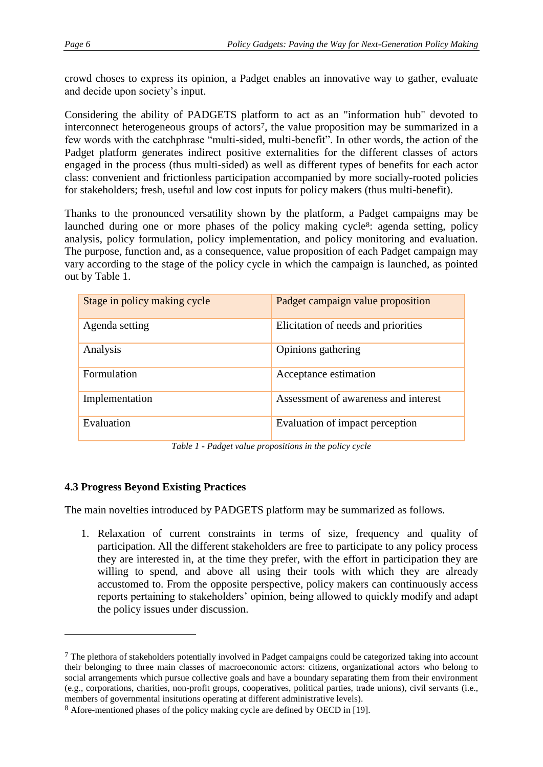crowd choses to express its opinion, a Padget enables an innovative way to gather, evaluate and decide upon society's input.

Considering the ability of PADGETS platform to act as an "information hub" devoted to interconnect heterogeneous groups of actors7, the value proposition may be summarized in a few words with the catchphrase "multi-sided, multi-benefit". In other words, the action of the Padget platform generates indirect positive externalities for the different classes of actors engaged in the process (thus multi-sided) as well as different types of benefits for each actor class: convenient and frictionless participation accompanied by more socially-rooted policies for stakeholders; fresh, useful and low cost inputs for policy makers (thus multi-benefit).

Thanks to the pronounced versatility shown by the platform, a Padget campaigns may be launched during one or more phases of the policy making cycle<sup>8</sup>: agenda setting, policy analysis, policy formulation, policy implementation, and policy monitoring and evaluation. The purpose, function and, as a consequence, value proposition of each Padget campaign may vary according to the stage of the policy cycle in which the campaign is launched, as pointed out by [Table 1.](#page-5-0)

| Stage in policy making cycle | Padget campaign value proposition    |
|------------------------------|--------------------------------------|
| Agenda setting               | Elicitation of needs and priorities  |
| Analysis                     | Opinions gathering                   |
| Formulation                  | Acceptance estimation                |
| Implementation               | Assessment of awareness and interest |
| Evaluation                   | Evaluation of impact perception      |

*Table 1 - Padget value propositions in the policy cycle*

### <span id="page-5-0"></span>**4.3 Progress Beyond Existing Practices**

 $\overline{a}$ 

The main novelties introduced by PADGETS platform may be summarized as follows.

1. Relaxation of current constraints in terms of size, frequency and quality of participation. All the different stakeholders are free to participate to any policy process they are interested in, at the time they prefer, with the effort in participation they are willing to spend, and above all using their tools with which they are already accustomed to. From the opposite perspective, policy makers can continuously access reports pertaining to stakeholders' opinion, being allowed to quickly modify and adapt the policy issues under discussion.

 $7$  The plethora of stakeholders potentially involved in Padget campaigns could be categorized taking into account their belonging to three main classes of macroeconomic actors: citizens, organizational actors who belong to social arrangements which pursue collective goals and have a boundary separating them from their environment (e.g., corporations, charities, non-profit groups, cooperatives, political parties, trade unions), civil servants (i.e., members of governmental insitutions operating at different administrative levels).

<sup>8</sup> Afore-mentioned phases of the policy making cycle are defined by OECD in [\[19\].](#page-7-17)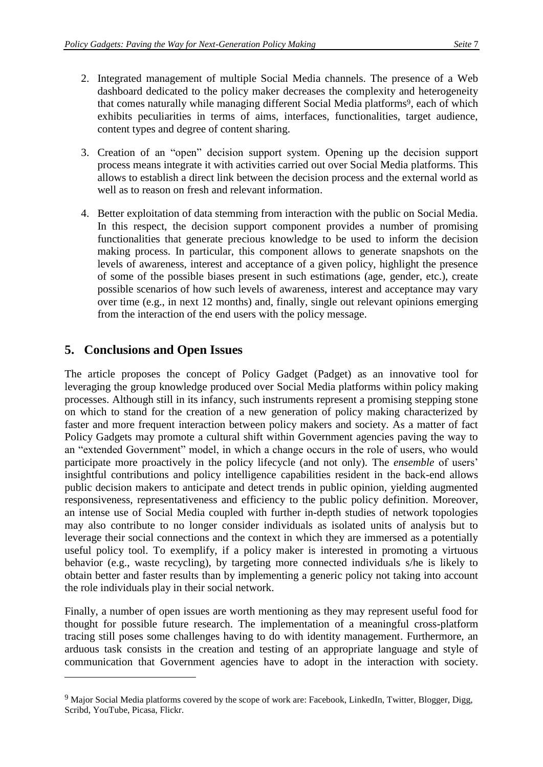- 2. Integrated management of multiple Social Media channels. The presence of a Web dashboard dedicated to the policy maker decreases the complexity and heterogeneity that comes naturally while managing different Social Media platforms<sup>9</sup>, each of which exhibits peculiarities in terms of aims, interfaces, functionalities, target audience, content types and degree of content sharing.
- 3. Creation of an "open" decision support system. Opening up the decision support process means integrate it with activities carried out over Social Media platforms. This allows to establish a direct link between the decision process and the external world as well as to reason on fresh and relevant information.
- 4. Better exploitation of data stemming from interaction with the public on Social Media. In this respect, the decision support component provides a number of promising functionalities that generate precious knowledge to be used to inform the decision making process. In particular, this component allows to generate snapshots on the levels of awareness, interest and acceptance of a given policy, highlight the presence of some of the possible biases present in such estimations (age, gender, etc.), create possible scenarios of how such levels of awareness, interest and acceptance may vary over time (e.g., in next 12 months) and, finally, single out relevant opinions emerging from the interaction of the end users with the policy message.

### **5. Conclusions and Open Issues**

 $\overline{a}$ 

The article proposes the concept of Policy Gadget (Padget) as an innovative tool for leveraging the group knowledge produced over Social Media platforms within policy making processes. Although still in its infancy, such instruments represent a promising stepping stone on which to stand for the creation of a new generation of policy making characterized by faster and more frequent interaction between policy makers and society. As a matter of fact Policy Gadgets may promote a cultural shift within Government agencies paving the way to an "extended Government" model, in which a change occurs in the role of users, who would participate more proactively in the policy lifecycle (and not only). The *ensemble* of users' insightful contributions and policy intelligence capabilities resident in the back-end allows public decision makers to anticipate and detect trends in public opinion, yielding augmented responsiveness, representativeness and efficiency to the public policy definition. Moreover, an intense use of Social Media coupled with further in-depth studies of network topologies may also contribute to no longer consider individuals as isolated units of analysis but to leverage their social connections and the context in which they are immersed as a potentially useful policy tool. To exemplify, if a policy maker is interested in promoting a virtuous behavior (e.g., waste recycling), by targeting more connected individuals s/he is likely to obtain better and faster results than by implementing a generic policy not taking into account the role individuals play in their social network.

Finally, a number of open issues are worth mentioning as they may represent useful food for thought for possible future research. The implementation of a meaningful cross-platform tracing still poses some challenges having to do with identity management. Furthermore, an arduous task consists in the creation and testing of an appropriate language and style of communication that Government agencies have to adopt in the interaction with society.

<sup>&</sup>lt;sup>9</sup> Major Social Media platforms covered by the scope of work are: Facebook, LinkedIn, Twitter, Blogger, Digg, Scribd, YouTube, Picasa, Flickr.